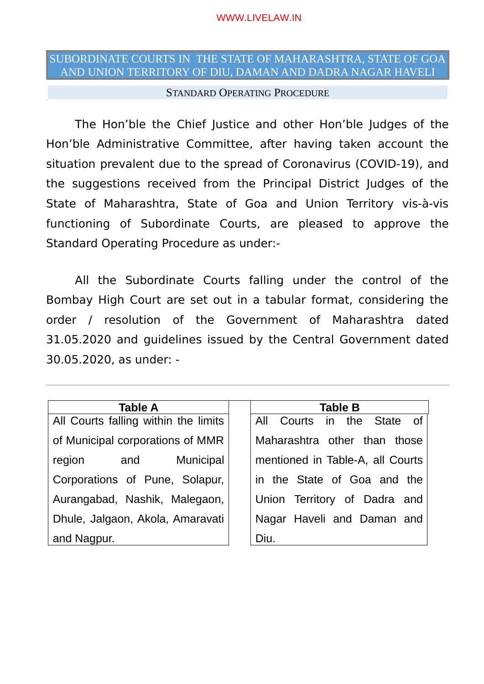## SUBORDINATE COURTS IN THE STATE OF MAHARASHTRA, STATE OF GOA AND UNION TERRITORY OF DIU, DAMAN AND DADRA NAGAR HAVELI

## STANDARD OPERATING PROCEDURE

The Hon'ble the Chief Justice and other Hon'ble Judges of the Hon'ble Administrative Committee, after having taken account the situation prevalent due to the spread of Coronavirus (COVID-19), and the suggestions received from the Principal District Judges of the State of Maharashtra, State of Goa and Union Territory vis-à-vis functioning of Subordinate Courts, are pleased to approve the Standard Operating Procedure as under:-

All the Subordinate Courts falling under the control of the Bombay High Court are set out in a tabular format, considering the order / resolution of the Government of Maharashtra dated 31.05.2020 and guidelines issued by the Central Government dated 30.05.2020, as under: -

All Courts falling within the limits of Municipal corporations of MMR region and Municipal Corporations of Pune, Solapur, Aurangabad, Nashik, Malegaon, Dhule, Jalgaon, Akola, Amaravati and Nagpur.

## **Table A Table B**

All Courts in the State of Maharashtra other than those mentioned in Table-A, all Courts in the State of Goa and the Union Territory of Dadra and Nagar Haveli and Daman and Diu.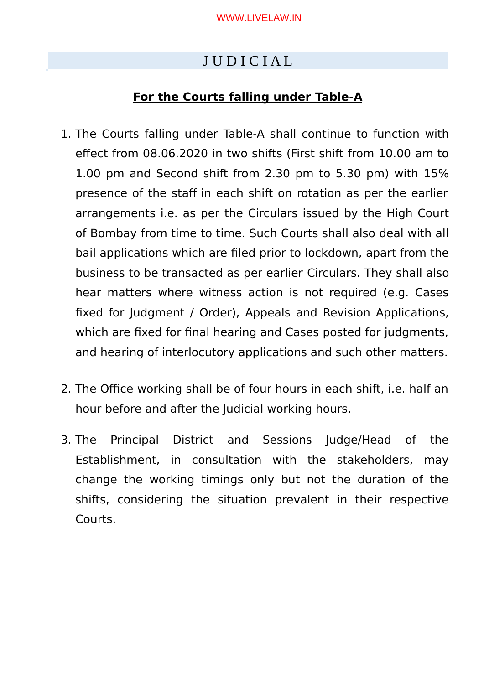# J U D I C I A L

## **For the Courts falling under Table-A**

- 1. The Courts falling under Table-A shall continue to function with effect from 08.06.2020 in two shifts (First shift from 10.00 am to 1.00 pm and Second shift from 2.30 pm to 5.30 pm) with 15% presence of the staff in each shift on rotation as per the earlier arrangements i.e. as per the Circulars issued by the High Court of Bombay from time to time. Such Courts shall also deal with all bail applications which are fled prior to lockdown, apart from the business to be transacted as per earlier Circulars. They shall also hear matters where witness action is not required (e.g. Cases fixed for Judgment / Order), Appeals and Revision Applications, which are fixed for final hearing and Cases posted for judgments, and hearing of interlocutory applications and such other matters.
- 2. The Office working shall be of four hours in each shift, i.e. half an hour before and after the Judicial working hours.
- 3. The Principal District and Sessions Judge/Head of the Establishment, in consultation with the stakeholders, may change the working timings only but not the duration of the shifts, considering the situation prevalent in their respective Courts.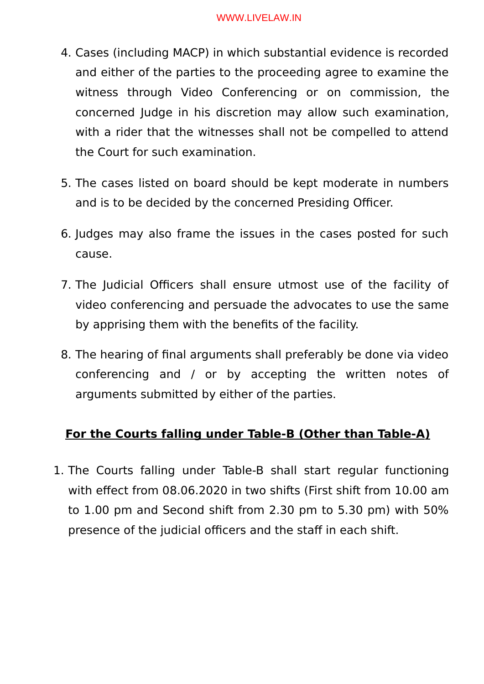- 4. Cases (including MACP) in which substantial evidence is recorded and either of the parties to the proceeding agree to examine the witness through Video Conferencing or on commission, the concerned Judge in his discretion may allow such examination, with a rider that the witnesses shall not be compelled to attend the Court for such examination.
- 5. The cases listed on board should be kept moderate in numbers and is to be decided by the concerned Presiding Officer.
- 6. Judges may also frame the issues in the cases posted for such cause.
- 7. The Judicial Officers shall ensure utmost use of the facility of video conferencing and persuade the advocates to use the same by apprising them with the benefts of the facility.
- 8. The hearing of fnal arguments shall preferably be done via video conferencing and / or by accepting the written notes of arguments submitted by either of the parties.

## **For the Courts falling under Table-B (Other than Table-A)**

1. The Courts falling under Table-B shall start regular functioning with effect from 08.06.2020 in two shifts (First shift from 10.00 am to 1.00 pm and Second shift from 2.30 pm to 5.30 pm) with 50% presence of the judicial officers and the staff in each shift.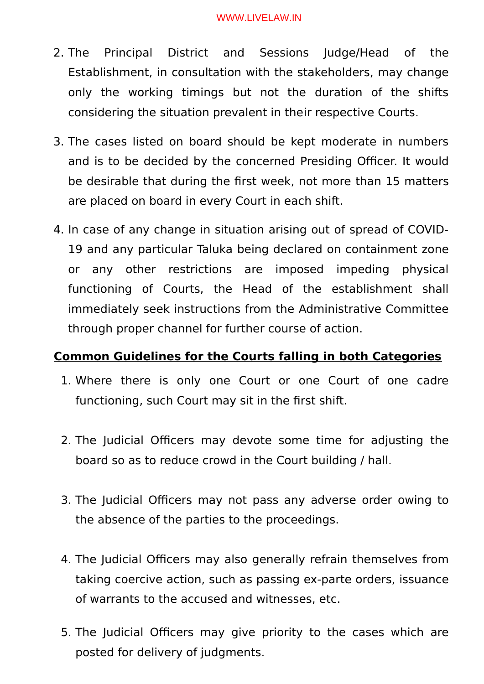- 2. The Principal District and Sessions Judge/Head of the Establishment, in consultation with the stakeholders, may change only the working timings but not the duration of the shifts considering the situation prevalent in their respective Courts.
- 3. The cases listed on board should be kept moderate in numbers and is to be decided by the concerned Presiding Officer. It would be desirable that during the frst week, not more than 15 matters are placed on board in every Court in each shift.
- 4. In case of any change in situation arising out of spread of COVID-19 and any particular Taluka being declared on containment zone or any other restrictions are imposed impeding physical functioning of Courts, the Head of the establishment shall immediately seek instructions from the Administrative Committee through proper channel for further course of action.

## **Common Guidelines for the Courts falling in both Categories**

- 1. Where there is only one Court or one Court of one cadre functioning, such Court may sit in the first shift.
- 2. The Judicial Officers may devote some time for adjusting the board so as to reduce crowd in the Court building / hall.
- 3. The Judicial Officers may not pass any adverse order owing to the absence of the parties to the proceedings.
- 4. The Judicial Officers may also generally refrain themselves from taking coercive action, such as passing ex-parte orders, issuance of warrants to the accused and witnesses, etc.
- 5. The Judicial Officers may give priority to the cases which are posted for delivery of judgments.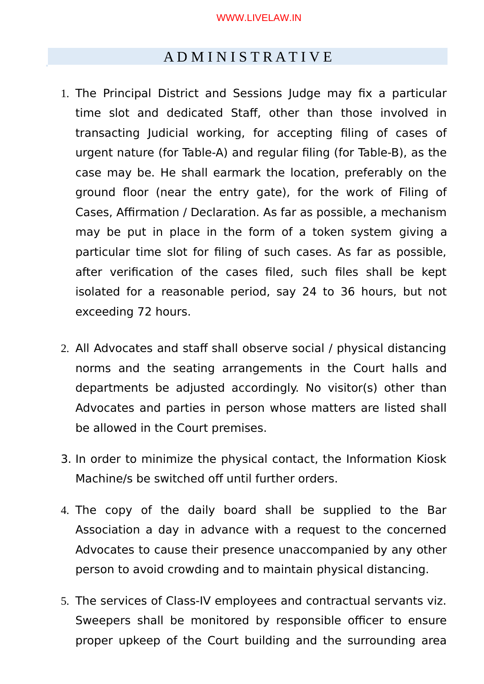## A D M I N I S T R A T I V E

- 1. The Principal District and Sessions Judge may fix a particular time slot and dedicated Staff, other than those involved in transacting Judicial working, for accepting fling of cases of urgent nature (for Table-A) and regular fling (for Table-B), as the case may be. He shall earmark the location, preferably on the ground foor (near the entry gate), for the work of Filing of Cases, Affirmation / Declaration. As far as possible, a mechanism may be put in place in the form of a token system giving a particular time slot for fling of such cases. As far as possible, after verification of the cases filed, such files shall be kept isolated for a reasonable period, say 24 to 36 hours, but not exceeding 72 hours.
- 2. All Advocates and staff shall observe social / physical distancing norms and the seating arrangements in the Court halls and departments be adjusted accordingly. No visitor(s) other than Advocates and parties in person whose matters are listed shall be allowed in the Court premises.
- 3. In order to minimize the physical contact, the Information Kiosk Machine/s be switched off until further orders.
- 4. The copy of the daily board shall be supplied to the Bar Association a day in advance with a request to the concerned Advocates to cause their presence unaccompanied by any other person to avoid crowding and to maintain physical distancing.
- 5. The services of Class-IV employees and contractual servants viz. Sweepers shall be monitored by responsible officer to ensure proper upkeep of the Court building and the surrounding area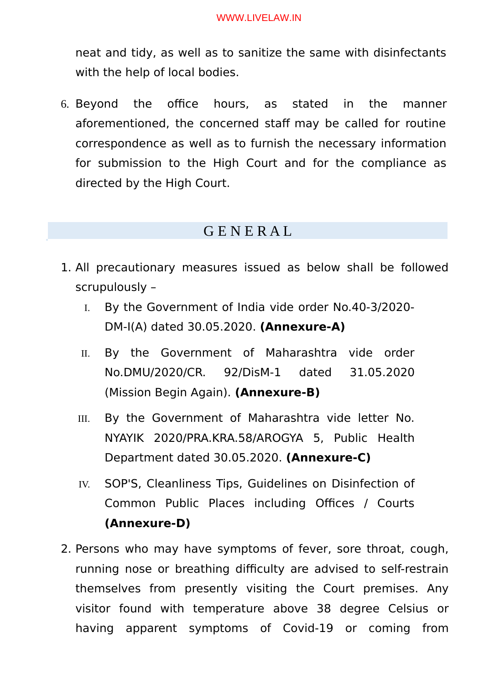neat and tidy, as well as to sanitize the same with disinfectants with the help of local bodies.

6. Beyond the office hours, as stated in the manner aforementioned, the concerned staff may be called for routine correspondence as well as to furnish the necessary information for submission to the High Court and for the compliance as directed by the High Court.

## G E N E R A L

- 1. All precautionary measures issued as below shall be followed scrupulously –
	- I. By the Government of India vide order No.40-3/2020- DM-I(A) dated 30.05.2020. **(Annexure-A)**
	- II. By the Government of Maharashtra vide order No.DMU/2020/CRe. 92/DisM-1 dated 31.05.2020 (Mission Begin Again). **(Annexure-B)**
	- III. By the Government of Maharashtra vide letter No. NYAYIK 2020/PRA.KRA.58/AROGYA 5, Public Health Department dated 30.05.2020. **(Annexure-C)**
	- IV. SOP'S, Cleanliness Tips, Guidelines on Disinfection of Common Public Places including Offices / Courts **(Annexure-D)**
- 2. Persons who may have symptoms of fever, sore throat, cough, running nose or breathing difficulty are advised to self-restrain themselves from presently visiting the Court premises. Any visitor found with temperature above 38 degree Celsius or having apparent symptoms of Covid-19 or coming from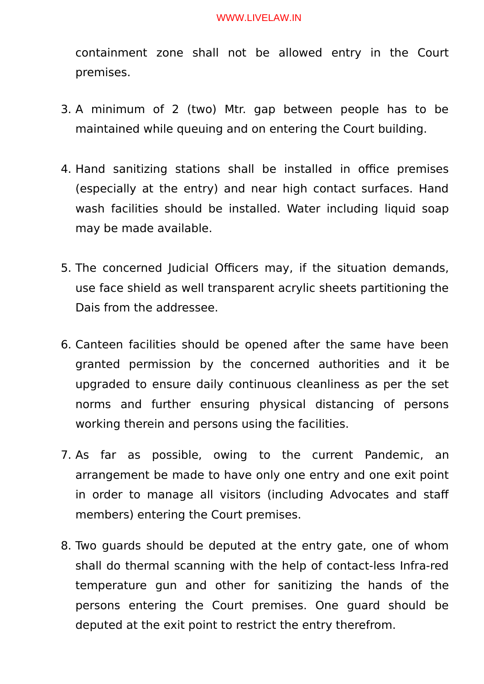containment zone shall not be allowed entry in the Court premises.

- 3. A minimum of 2 (two) Mtr. gap between people has to be maintained while queuing and on entering the Court building.
- 4. Hand sanitizing stations shall be installed in office premises (especially at the entry) and near high contact surfaces. Hand wash facilities should be installed. Water including liquid soap may be made available.
- 5. The concerned Judicial Officers may, if the situation demands, use face shield as well transparent acrylic sheets partitioning the Dais from the addressee.
- 6. Canteen facilities should be opened after the same have been granted permission by the concerned authorities and it be upgraded to ensure daily continuous cleanliness as per the set norms and further ensuring physical distancing of persons working therein and persons using the facilities.
- 7. As far as possible, owing to the current Pandemic, an arrangement be made to have only one entry and one exit point in order to manage all visitors (including Advocates and staff members) entering the Court premises.
- 8. Two guards should be deputed at the entry gate, one of whom shall do thermal scanning with the help of contact-less Infra-red temperature gun and other for sanitizing the hands of the persons entering the Court premises. One guard should be deputed at the exit point to restrict the entry therefrom.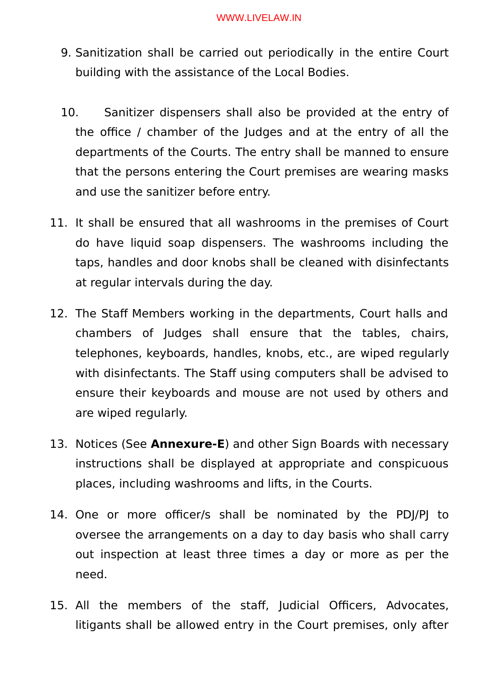- 9. Sanitization shall be carried out periodically in the entire Court building with the assistance of the Local Bodies.
- 10. Sanitizer dispensers shall also be provided at the entry of the office / chamber of the Judges and at the entry of all the departments of the Courts. The entry shall be manned to ensure that the persons entering the Court premises are wearing masks and use the sanitizer before entry.
- 11. It shall be ensured that all washrooms in the premises of Court do have liquid soap dispensers. The washrooms including the taps, handles and door knobs shall be cleaned with disinfectants at regular intervals during the day.
- 12. The Staff Members working in the departments, Court halls and chambers of Judges shall ensure that the tables, chairs, telephones, keyboards, handles, knobs, etc., are wiped regularly with disinfectants. The Staff using computers shall be advised to ensure their keyboards and mouse are not used by others and are wiped regularly.
- 13. Notices (See **Annexure-E**) and other Sign Boards with necessary instructions shall be displayed at appropriate and conspicuous places, including washrooms and lifts, in the Courts.
- 14. One or more officer/s shall be nominated by the PDJ/PJ to oversee the arrangements on a day to day basis who shall carry out inspection at least three times a day or more as per the need.
- 15. All the members of the staff, Judicial Officers, Advocates, litigants shall be allowed entry in the Court premises, only after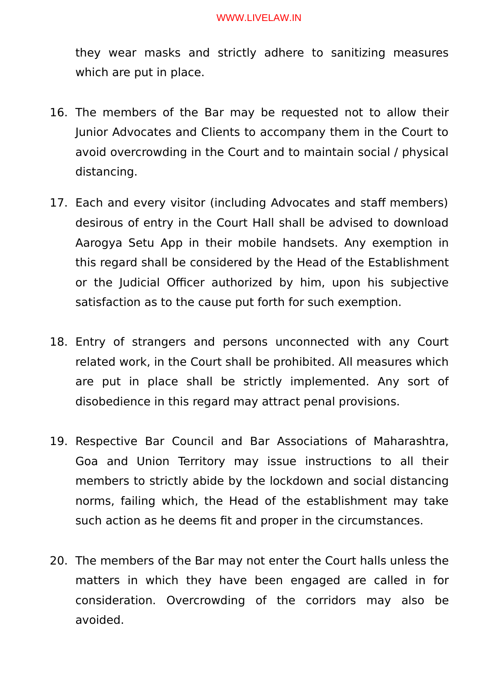they wear masks and strictly adhere to sanitizing measures which are put in place.

- 16. The members of the Bar may be requested not to allow their Junior Advocates and Clients to accompany them in the Court to avoid overcrowding in the Court and to maintain social / physical distancing.
- 17. Each and every visitor (including Advocates and staff members) desirous of entry in the Court Hall shall be advised to download Aarogya Setu App in their mobile handsets. Any exemption in this regard shall be considered by the Head of the Establishment or the Judicial Officer authorized by him, upon his subjective satisfaction as to the cause put forth for such exemption.
- 18. Entry of strangers and persons unconnected with any Court related work, in the Court shall be prohibited. All measures which are put in place shall be strictly implemented. Any sort of disobedience in this regard may attract penal provisions.
- 19. Respective Bar Council and Bar Associations of Maharashtra, Goa and Union Territory may issue instructions to all their members to strictly abide by the lockdown and social distancing norms, failing which, the Head of the establishment may take such action as he deems fit and proper in the circumstances.
- 20. The members of the Bar may not enter the Court halls unless the matters in which they have been engaged are called in for consideration. Overcrowding of the corridors may also be avoided.